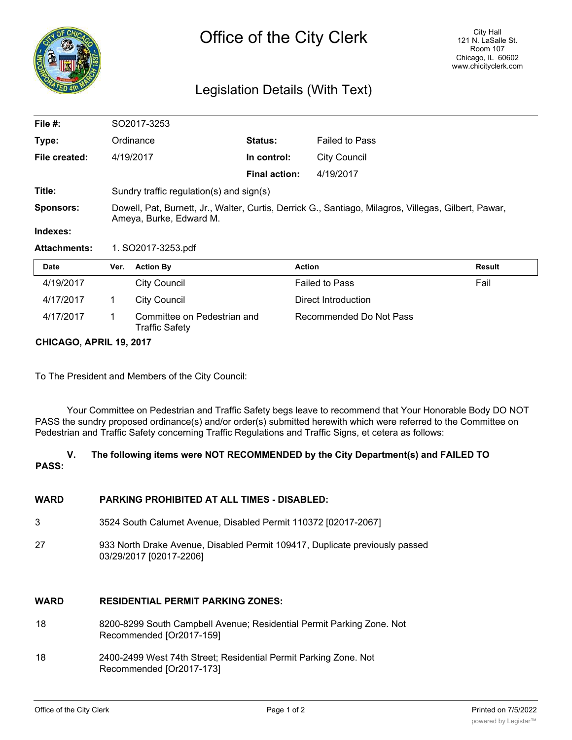

# Legislation Details (With Text)

| File $#$ :          | SO2017-3253                                                                                                                     |                                                      |                      |                         |               |  |
|---------------------|---------------------------------------------------------------------------------------------------------------------------------|------------------------------------------------------|----------------------|-------------------------|---------------|--|
| Type:               |                                                                                                                                 | Ordinance                                            | <b>Status:</b>       | <b>Failed to Pass</b>   |               |  |
| File created:       |                                                                                                                                 | 4/19/2017                                            | In control:          | <b>City Council</b>     |               |  |
|                     |                                                                                                                                 |                                                      | <b>Final action:</b> | 4/19/2017               |               |  |
| Title:              |                                                                                                                                 | Sundry traffic regulation(s) and sign(s)             |                      |                         |               |  |
| <b>Sponsors:</b>    | Dowell, Pat, Burnett, Jr., Walter, Curtis, Derrick G., Santiago, Milagros, Villegas, Gilbert, Pawar,<br>Ameya, Burke, Edward M. |                                                      |                      |                         |               |  |
| Indexes:            |                                                                                                                                 |                                                      |                      |                         |               |  |
| <b>Attachments:</b> | 1. SO2017-3253.pdf                                                                                                              |                                                      |                      |                         |               |  |
| Date                | Ver.                                                                                                                            | <b>Action By</b>                                     |                      | <b>Action</b>           | <b>Result</b> |  |
| 4/19/2017           |                                                                                                                                 | <b>City Council</b>                                  |                      | <b>Failed to Pass</b>   | Fail          |  |
| 4/17/2017           | 1.                                                                                                                              | <b>City Council</b>                                  |                      | Direct Introduction     |               |  |
| 4/17/2017           | 1.                                                                                                                              | Committee on Pedestrian and<br><b>Traffic Safety</b> |                      | Recommended Do Not Pass |               |  |

**CHICAGO, APRIL 19, 2017**

To The President and Members of the City Council:

Your Committee on Pedestrian and Traffic Safety begs leave to recommend that Your Honorable Body DO NOT PASS the sundry proposed ordinance(s) and/or order(s) submitted herewith which were referred to the Committee on Pedestrian and Traffic Safety concerning Traffic Regulations and Traffic Signs, et cetera as follows:

# **V. The following items were NOT RECOMMENDED by the City Department(s) and FAILED TO PASS:**

# **WARD PARKING PROHIBITED AT ALL TIMES - DISABLED:**

- 3 3524 South Calumet Avenue, Disabled Permit 110372 [02017-2067]
- 27 933 North Drake Avenue, Disabled Permit 109417, Duplicate previously passed 03/29/2017 [02017-2206]

# **WARD RESIDENTIAL PERMIT PARKING ZONES:**

- 18 8200-8299 South Campbell Avenue; Residential Permit Parking Zone. Not Recommended [Or2017-159]
- 18 2400-2499 West 74th Street; Residential Permit Parking Zone. Not Recommended [Or2017-173]